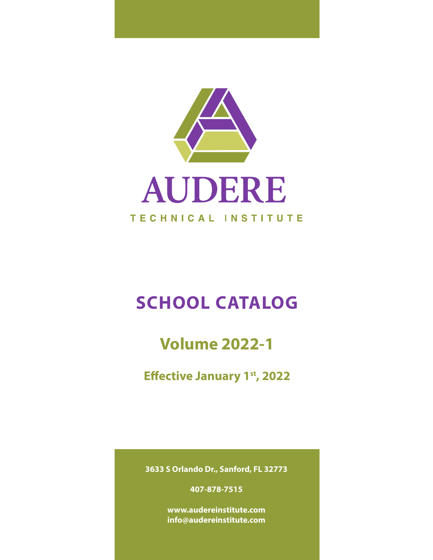

# **SCHOOL CATALOG**

# **Volume 2022-1**

**Effective January 1st, 2022** 

**3633 S Orlando Dr., Sanford, FL 32773** 

**407-878-7515**

**www.audereinstitute.com info@audereinstitute.com**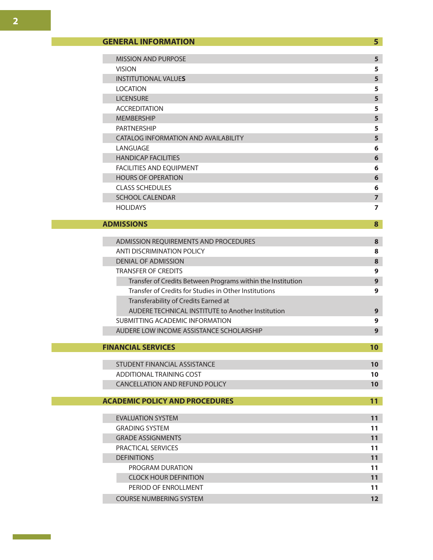| <b>MISSION AND PURPOSE</b>           | 5 |
|--------------------------------------|---|
| <b>VISION</b>                        | 5 |
| <b>INSTITUTIONAL VALUES</b>          | 5 |
| <b>LOCATION</b>                      | 5 |
| <b>LICENSURE</b>                     | 5 |
| <b>ACCREDITATION</b>                 | 5 |
| <b>MEMBERSHIP</b>                    | 5 |
| <b>PARTNERSHIP</b>                   | 5 |
| CATALOG INFORMATION AND AVAILABILITY | 5 |
| LANGUAGE                             | 6 |
| <b>HANDICAP FACILITIES</b>           | 6 |
| <b>FACILITIES AND EQUIPMENT</b>      | 6 |
| <b>HOURS OF OPERATION</b>            | 6 |
| <b>CLASS SCHEDULES</b>               | 6 |
| <b>SCHOOL CALENDAR</b>               | 7 |
| <b>HOLIDAYS</b>                      | 7 |

## **ADMISSIONS 8**

| ADMISSION REQUIREMENTS AND PROCEDURES                       | 8 |
|-------------------------------------------------------------|---|
| ANTI DISCRIMINATION POLICY                                  | 8 |
| DENIAL OF ADMISSION                                         | 8 |
| <b>TRANSFER OF CREDITS</b>                                  | 9 |
| Transfer of Credits Between Programs within the Institution | 9 |
| Transfer of Credits for Studies in Other Institutions       | 9 |
| Transferability of Credits Earned at                        |   |
| AUDERE TECHNICAL INSTITUTE to Another Institution           | 9 |
| SUBMITTING ACADEMIC INFORMATION                             | 9 |
| AUDERE LOW INCOME ASSISTANCE SCHOLARSHIP                    | 9 |

## **FINANCIAL SERVICES 10**

| STUDENT FINANCIAL ASSISTANCE   |  |
|--------------------------------|--|
| ADDITIONAL TRAINING COST       |  |
| CANCELLATION AND REFUND POLICY |  |

## **ACADEMIC POLICY AND PROCEDURES 11**

| <b>EVALUATION SYSTEM</b><br>11<br><b>GRADING SYSTEM</b><br>11<br><b>GRADE ASSIGNMENTS</b><br>11<br>PRACTICAL SERVICES<br>11<br><b>DEFINITIONS</b><br>11<br>PROGRAM DURATION<br>11<br><b>CLOCK HOUR DEFINITION</b><br>11<br>PERIOD OF ENROLLMENT<br>11<br><b>COURSE NUMBERING SYSTEM</b><br>כו |  |  |
|-----------------------------------------------------------------------------------------------------------------------------------------------------------------------------------------------------------------------------------------------------------------------------------------------|--|--|
|                                                                                                                                                                                                                                                                                               |  |  |
|                                                                                                                                                                                                                                                                                               |  |  |
|                                                                                                                                                                                                                                                                                               |  |  |
|                                                                                                                                                                                                                                                                                               |  |  |
|                                                                                                                                                                                                                                                                                               |  |  |
|                                                                                                                                                                                                                                                                                               |  |  |
|                                                                                                                                                                                                                                                                                               |  |  |
|                                                                                                                                                                                                                                                                                               |  |  |
|                                                                                                                                                                                                                                                                                               |  |  |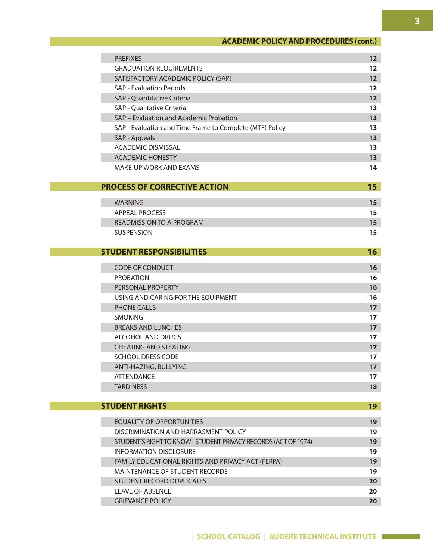## **ACADEMIC POLICY AND PROCEDURES (cont.)**

| <b>PREFIXES</b>                                                 | 12 <sub>2</sub> |
|-----------------------------------------------------------------|-----------------|
| <b>GRADUATION REQUIREMENTS</b>                                  | 12              |
| SATISFACTORY ACADEMIC POLICY (SAP)                              | 12 <sub>2</sub> |
| <b>SAP - Evaluation Periods</b>                                 | 12              |
| <b>SAP - Quantitative Criteria</b>                              | 12              |
| <b>SAP - Qualitative Criteria</b>                               | 13              |
| SAP - Evaluation and Academic Probation                         | 13 <sup>2</sup> |
| SAP - Evaluation and Time Frame to Complete (MTF) Policy        | 13              |
| SAP - Appeals                                                   | 13              |
| <b>ACADEMIC DISMISSAL</b>                                       | 13              |
| <b>ACADEMIC HONESTY</b>                                         | 13              |
| MAKE-UP WORK AND EXAMS                                          | 14              |
| <b>PROCESS OF CORRECTIVE ACTION</b>                             | 15 <sub>1</sub> |
| <b>WARNING</b>                                                  | 15 <sub>1</sub> |
| <b>APPEAL PROCESS</b>                                           | 15              |
| <b>READMISSION TO A PROGRAM</b>                                 | 15              |
| <b>SUSPENSION</b>                                               | 15              |
|                                                                 |                 |
| <b>STUDENT RESPONSIBILITIES</b>                                 | 16              |
| CODE OF CONDUCT                                                 | 16              |
| <b>PROBATION</b>                                                | 16              |
| PERSONAL PROPERTY                                               | 16              |
| USING AND CARING FOR THE EQUIPMENT                              | 16              |
| <b>PHONE CALLS</b>                                              | 17 <sup>2</sup> |
| <b>SMOKING</b>                                                  | 17              |
| <b>BREAKS AND LUNCHES</b>                                       | 17 <sup>2</sup> |
| <b>ALCOHOL AND DRUGS</b>                                        | 17              |
| <b>CHEATING AND STEALING</b>                                    | 17 <sup>2</sup> |
| <b>SCHOOL DRESS CODE</b>                                        | 17              |
| ANTI-HAZING, BULLYING                                           | 17 <sub>2</sub> |
| <b>ATTENDANCE</b>                                               | 17              |
| <b>TARDINESS</b>                                                | 18              |
| <b>STUDENT RIGHTS</b>                                           | 19              |
|                                                                 |                 |
| <b>EQUALITY OF OPPORTUNITIES</b>                                | 19              |
| DISCRIMINATION AND HARRASMENT POLICY                            | 19              |
| STUDENT'S RIGHT TO KNOW - STUDENT PRIVACY RECORDS (ACT OF 1974) | 19 <sup>°</sup> |
| <b>INFORMATION DISCLOSURE</b>                                   | 19              |
| FAMILY EDUCATIONAL RIGHTS AND PRIVACY ACT (FERPA)               | 19 <sup>°</sup> |
| <b>MAINTENANCE OF STUDENT RECORDS</b>                           | 19              |
| <b>STUDENT RECORD DUPLICATES</b>                                | 20              |
| <b>LEAVE OF ABSENCE</b>                                         | 20              |
| <b>GRIEVANCE POLICY</b>                                         | 20              |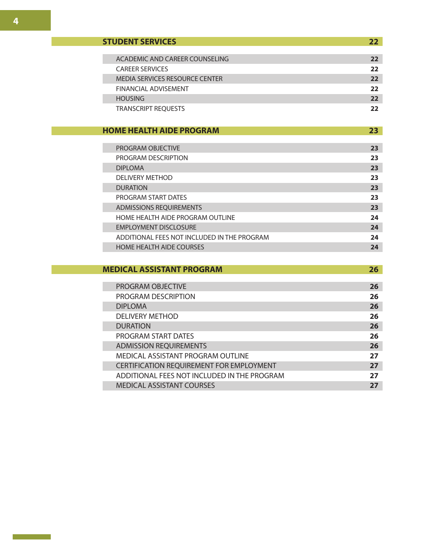| <b>STUDENT SERVICES</b>        | 22 |
|--------------------------------|----|
|                                |    |
| ACADEMIC AND CAREER COUNSELING | 22 |
| <b>CAREER SERVICES</b>         | 22 |
| MEDIA SERVICES RESOURCE CENTER | 22 |
| FINANCIAL ADVISEMENT           | 22 |
| <b>HOUSING</b>                 | 22 |
| <b>TRANSCRIPT REOUESTS</b>     | 22 |

## **HOME HEALTH AIDE PROGRAM 23**

| <b>PROGRAM OBJECTIVE</b>                    | 23 |
|---------------------------------------------|----|
| PROGRAM DESCRIPTION                         | 23 |
| <b>DIPLOMA</b>                              | 23 |
| <b>DELIVERY METHOD</b>                      | 23 |
| <b>DURATION</b>                             | 23 |
| PROGRAM START DATES                         | 23 |
| <b>ADMISSIONS REOUIREMENTS</b>              | 23 |
| HOME HEALTH AIDE PROGRAM OUTLINE            | 24 |
| <b>EMPLOYMENT DISCLOSURE</b>                | 24 |
| ADDITIONAL FEES NOT INCLUDED IN THE PROGRAM | 24 |
| <b>HOME HEALTH AIDE COURSES</b>             | 24 |

## **MEDICAL ASSISTANT PROGRAM 26**

| <b>PROGRAM OBJECTIVE</b>                        | 26 |
|-------------------------------------------------|----|
| PROGRAM DESCRIPTION                             | 26 |
| <b>DIPLOMA</b>                                  | 26 |
| <b>DELIVERY METHOD</b>                          | 26 |
| <b>DURATION</b>                                 | 26 |
| <b>PROGRAM START DATES</b>                      | 26 |
| <b>ADMISSION REQUIREMENTS</b>                   | 26 |
| MEDICAL ASSISTANT PROGRAM OUTLINE               | 27 |
| <b>CERTIFICATION REQUIREMENT FOR EMPLOYMENT</b> | 27 |
| ADDITIONAL FEES NOT INCLUDED IN THE PROGRAM     | 27 |
| <b>MEDICAL ASSISTANT COURSES</b>                | 27 |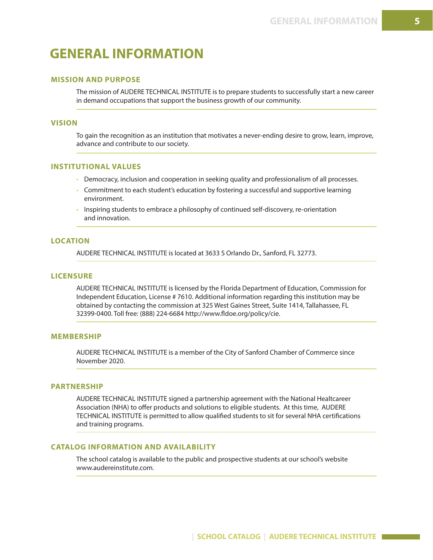## **GENERAL INFORMATION**

## **MISSION AND PURPOSE**

The mission of AUDERE TECHNICAL INSTITUTE is to prepare students to successfully start a new career in demand occupations that support the business growth of our community.

#### **VISION**

To gain the recognition as an institution that motivates a never-ending desire to grow, learn, improve, advance and contribute to our society.

#### **INSTITUTIONAL VALUES**

- Democracy, inclusion and cooperation in seeking quality and professionalism of all processes.
- Commitment to each student's education by fostering a successful and supportive learning environment.
- Inspiring students to embrace a philosophy of continued self-discovery, re-orientation and innovation.

#### **LOCATION**

AUDERE TECHNICAL INSTITUTE is located at 3633 S Orlando Dr., Sanford, FL 32773.

#### **LICENSURE**

AUDERE TECHNICAL INSTITUTE is licensed by the Florida Department of Education, Commission for Independent Education, License # 7610. Additional information regarding this institution may be obtained by contacting the commission at 325 West Gaines Street, Suite 1414, Tallahassee, FL 32399-0400. Toll free: (888) 224-6684 http://www.fldoe.org/policy/cie.

#### **MEMBERSHIP**

AUDERE TECHNICAL INSTITUTE is a member of the City of Sanford Chamber of Commerce since November 2020.

#### **PARTNERSHIP**

AUDERE TECHNICAL INSTITUTE signed a partnership agreement with the National Healtcareer Association (NHA) to offer products and solutions to eligible students. At this time, AUDERE TECHNICAL INSTITUTE is permitted to allow qualified students to sit for several NHA certifications and training programs.

## **CATALOG INFORMATION AND AVAILABILITY**

The school catalog is available to the public and prospective students at our school's website www.audereinstitute.com.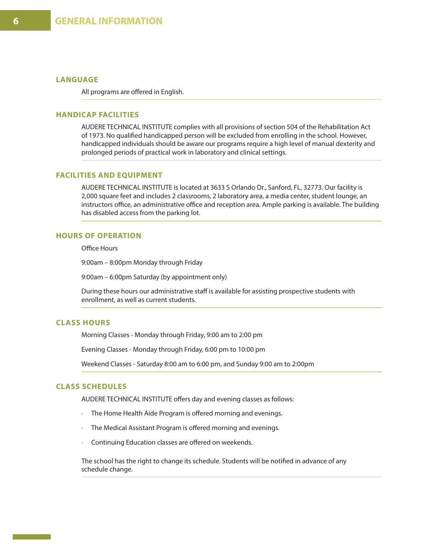## **LANGUAGE**

All programs are offered in English.

#### **HANDICAP FACILITIES**

AUDERE TECHNICAL INSTITUTE complies with all provisions of section 504 of the Rehabilitation Act of 1973. No qualified handicapped person will be excluded from enrolling in the school. However, handicapped individuals should be aware our programs require a high level of manual dexterity and prolonged periods of practical work in laboratory and clinical settings.

## **FACILITIES AND EQUIPMENT**

AUDERE TECHNICAL INSTITUTE is located at 3633 S Orlando Dr., Sanford, FL, 32773. Our facility is 2,000 square feet and includes 2 classrooms, 2 laboratory area, a media center, student lounge, an instructors office, an administrative office and reception area. Ample parking is available. The building has disabled access from the parking lot.

## **HOURS OF OPERATION**

Office Hours

9:00am – 8:00pm Monday through Friday

9:00am – 6:00pm Saturday (by appointment only)

During these hours our administrative staff is available for assisting prospective students with enrollment, as well as current students.

## **CLASS HOURS**

Morning Classes - Monday through Friday, 9:00 am to 2:00 pm

Evening Classes - Monday through Friday, 6:00 pm to 10:00 pm

Weekend Classes - Saturday 8:00 am to 6:00 pm, and Sunday 9:00 am to 2:00pm

#### **CLASS SCHEDULES**

AUDERE TECHNICAL INSTITUTE offers day and evening classes as follows:

- The Home Health Aide Program is offered morning and evenings.
- The Medical Assistant Program is offered morning and evenings.
- Continuing Education classes are offered on weekends.

The school has the right to change its schedule. Students will be notified in advance of any schedule change.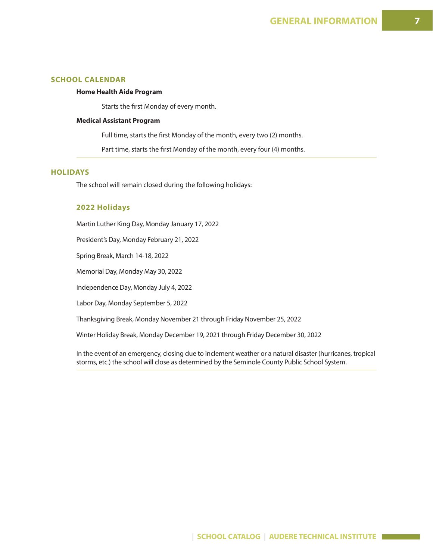## **SCHOOL CALENDAR**

### **Home Health Aide Program**

Starts the first Monday of every month.

#### **Medical Assistant Program**

Full time, starts the first Monday of the month, every two (2) months.

Part time, starts the first Monday of the month, every four (4) months.

### **HOLIDAYS**

The school will remain closed during the following holidays:

#### **2022 Holidays**

Martin Luther King Day, Monday January 17, 2022

President's Day, Monday February 21, 2022

Spring Break, March 14-18, 2022

Memorial Day, Monday May 30, 2022

Independence Day, Monday July 4, 2022

Labor Day, Monday September 5, 2022

Thanksgiving Break, Monday November 21 through Friday November 25, 2022

Winter Holiday Break, Monday December 19, 2021 through Friday December 30, 2022

In the event of an emergency, closing due to inclement weather or a natural disaster (hurricanes, tropical storms, etc.) the school will close as determined by the Seminole County Public School System.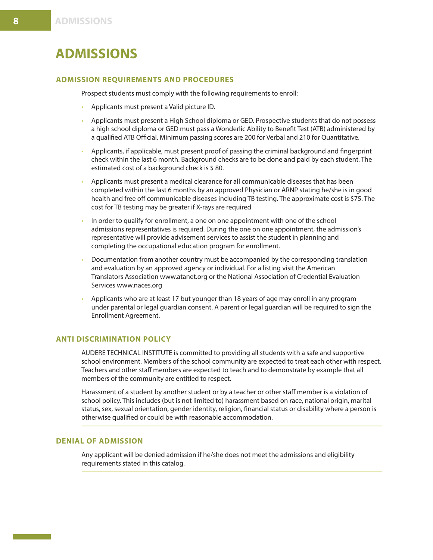## **ADMISSIONS**

## **ADMISSION REQUIREMENTS AND PROCEDURES**

Prospect students must comply with the following requirements to enroll:

- Applicants must present a Valid picture ID.
- Applicants must present a High School diploma or GED. Prospective students that do not possess a high school diploma or GED must pass a Wonderlic Ability to Benefit Test (ATB) administered by a qualified ATB Official. Minimum passing scores are 200 for Verbal and 210 for Quantitative.
- Applicants, if applicable, must present proof of passing the criminal background and fingerprint check within the last 6 month. Background checks are to be done and paid by each student. The estimated cost of a background check is \$ 80.
- Applicants must present a medical clearance for all communicable diseases that has been completed within the last 6 months by an approved Physician or ARNP stating he/she is in good health and free off communicable diseases including TB testing. The approximate cost is \$75. The cost for TB testing may be greater if X-rays are required
- In order to qualify for enrollment, a one on one appointment with one of the school admissions representatives is required. During the one on one appointment, the admission's representative will provide advisement services to assist the student in planning and completing the occupational education program for enrollment.
- Documentation from another country must be accompanied by the corresponding translation and evaluation by an approved agency or individual. For a listing visit the American Translators Association www.atanet.org or the National Association of Credential Evaluation Services www.naces.org
- Applicants who are at least 17 but younger than 18 years of age may enroll in any program under parental or legal guardian consent. A parent or legal guardian will be required to sign the Enrollment Agreement.

## **ANTI DISCRIMINATION POLICY**

AUDERE TECHNICAL INSTITUTE is committed to providing all students with a safe and supportive school environment. Members of the school community are expected to treat each other with respect. Teachers and other staff members are expected to teach and to demonstrate by example that all members of the community are entitled to respect.

Harassment of a student by another student or by a teacher or other staff member is a violation of school policy. This includes (but is not limited to) harassment based on race, national origin, marital status, sex, sexual orientation, gender identity, religion, financial status or disability where a person is otherwise qualified or could be with reasonable accommodation.

## **DENIAL OF ADMISSION**

Any applicant will be denied admission if he/she does not meet the admissions and eligibility requirements stated in this catalog.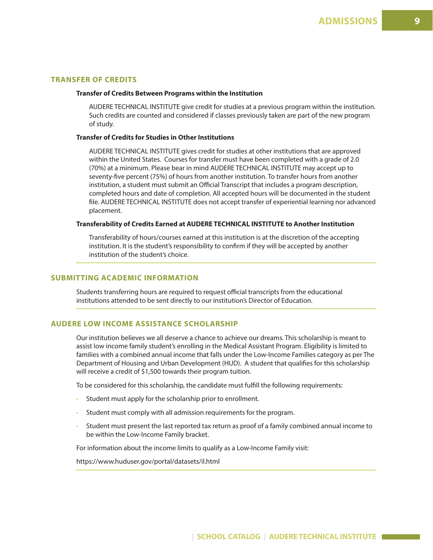## **TRANSFER OF CREDITS**

#### **Transfer of Credits Between Programs within the Institution**

AUDERE TECHNICAL INSTITUTE give credit for studies at a previous program within the institution. Such credits are counted and considered if classes previously taken are part of the new program of study.

#### **Transfer of Credits for Studies in Other Institutions**

AUDERE TECHNICAL INSTITUTE gives credit for studies at other institutions that are approved within the United States. Courses for transfer must have been completed with a grade of 2.0 (70%) at a minimum. Please bear in mind AUDERE TECHNICAL INSTITUTE may accept up to seventy-five percent (75%) of hours from another institution. To transfer hours from another institution, a student must submit an Official Transcript that includes a program description, completed hours and date of completion. All accepted hours will be documented in the student file. AUDERE TECHNICAL INSTITUTE does not accept transfer of experiential learning nor advanced placement.

#### **Transferability of Credits Earned at AUDERE TECHNICAL INSTITUTE to Another Institution**

Transferability of hours/courses earned at this institution is at the discretion of the accepting institution. It is the student's responsibility to confirm if they will be accepted by another institution of the student's choice.

#### **SUBMITTING ACADEMIC INFORMATION**

Students transferring hours are required to request official transcripts from the educational institutions attended to be sent directly to our institution's Director of Education.

## **AUDERE LOW INCOME ASSISTANCE SCHOLARSHIP**

Our institution believes we all deserve a chance to achieve our dreams. This scholarship is meant to assist low income family student's enrolling in the Medical Assistant Program. Eligibility is limited to families with a combined annual income that falls under the Low-Income Families category as per The Department of Housing and Urban Development (HUD). A student that qualifies for this scholarship will receive a credit of \$1,500 towards their program tuition.

To be considered for this scholarship, the candidate must fulfill the following requirements:

- Student must apply for the scholarship prior to enrollment.
- Student must comply with all admission requirements for the program.
- Student must present the last reported tax return as proof of a family combined annual income to be within the Low-Income Family bracket.

For information about the income limits to qualify as a Low-Income Family visit:

https://www.huduser.gov/portal/datasets/il.html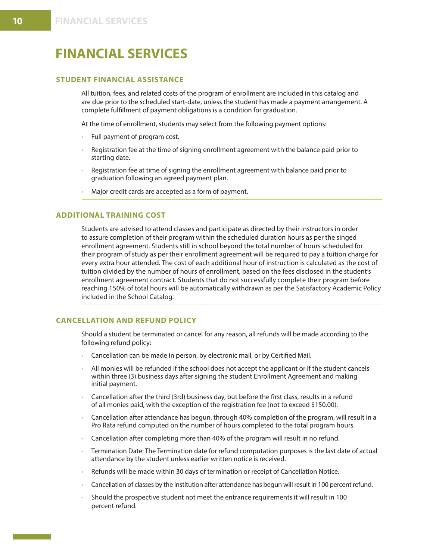## **FINANCIAL SERVICES**

## **STUDENT FINANCIAL ASSISTANCE**

All tuition, fees, and related costs of the program of enrollment are included in this catalog and are due prior to the scheduled start-date, unless the student has made a payment arrangement. A complete fulfillment of payment obligations is a condition for graduation.

At the time of enrollment, students may select from the following payment options:

- Full payment of program cost.
- Registration fee at the time of signing enrollment agreement with the balance paid prior to starting date.
- Registration fee at time of signing the enrollment agreement with balance paid prior to graduation following an agreed payment plan.
- Major credit cards are accepted as a form of payment.

## **ADDITIONAL TRAINING COST**

Students are advised to attend classes and participate as directed by their instructors in order to assure completion of their program within the scheduled duration hours as per the singed enrollment agreement. Students still in school beyond the total number of hours scheduled for their program of study as per their enrollment agreement will be required to pay a tuition charge for every extra hour attended. The cost of each additional hour of instruction is calculated as the cost of tuition divided by the number of hours of enrollment, based on the fees disclosed in the student's enrollment agreement contract. Students that do not successfully complete their program before reaching 150% of total hours will be automatically withdrawn as per the Satisfactory Academic Policy included in the School Catalog.

## **CANCELLATION AND REFUND POLICY**

Should a student be terminated or cancel for any reason, all refunds will be made according to the following refund policy:

- Cancellation can be made in person, by electronic mail, or by Certified Mail.
- All monies will be refunded if the school does not accept the applicant or if the student cancels within three (3) business days after signing the student Enrollment Agreement and making initial payment.
- Cancellation after the third (3rd) business day, but before the first class, results in a refund of all monies paid, with the exception of the registration fee (not to exceed \$150.00).
- Cancellation after attendance has begun, through 40% completion of the program, will result in a Pro Rata refund computed on the number of hours completed to the total program hours.
- Cancellation after completing more than 40% of the program will result in no refund.
- Termination Date: The Termination date for refund computation purposes is the last date of actual attendance by the student unless earlier written notice is received.
- Refunds will be made within 30 days of termination or receipt of Cancellation Notice.
- Cancellation of classes by the institution after attendance has begun will result in 100 percent refund.
- Should the prospective student not meet the entrance requirements it will result in 100 percent refund.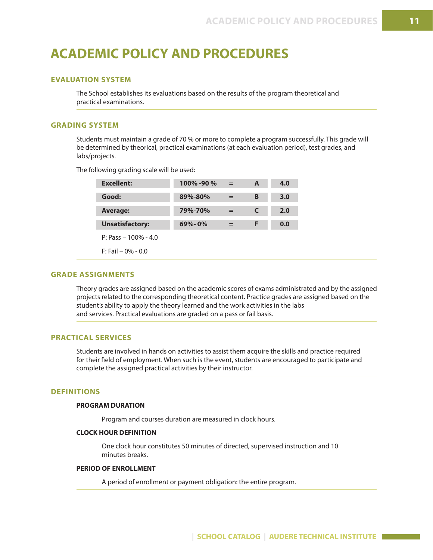## **ACADEMIC POLICY AND PROCEDURES**

## **EVALUATION SYSTEM**

The School establishes its evaluations based on the results of the program theoretical and practical examinations.

## **GRADING SYSTEM**

Students must maintain a grade of 70 % or more to complete a program successfully. This grade will be determined by theorical, practical examinations (at each evaluation period), test grades, and labs/projects.

The following grading scale will be used:

| <b>Excellent:</b>       | $100\%$ -90 $\%$ | $=$ | A | 4.0 |
|-------------------------|------------------|-----|---|-----|
| Good:                   | 89%-80%          | $=$ | в | 3.0 |
| <b>Average:</b>         | 79%-70%          | $=$ | C | 2.0 |
| <b>Unsatisfactory:</b>  | $69\% - 0\%$     | $=$ | F | 0.0 |
| $P: Pass - 100\% - 4.0$ |                  |     |   |     |
| $F:$ Fail – 0% - 0.0    |                  |     |   |     |

#### **GRADE ASSIGNMENTS**

Theory grades are assigned based on the academic scores of exams administrated and by the assigned projects related to the corresponding theoretical content. Practice grades are assigned based on the student's ability to apply the theory learned and the work activities in the labs and services. Practical evaluations are graded on a pass or fail basis.

## **PRACTICAL SERVICES**

Students are involved in hands on activities to assist them acquire the skills and practice required for their field of employment. When such is the event, students are encouraged to participate and complete the assigned practical activities by their instructor.

#### **DEFINITIONS**

#### **PROGRAM DURATION**

Program and courses duration are measured in clock hours.

#### **CLOCK HOUR DEFINITION**

One clock hour constitutes 50 minutes of directed, supervised instruction and 10 minutes breaks.

#### **PERIOD OF ENROLLMENT**

A period of enrollment or payment obligation: the entire program.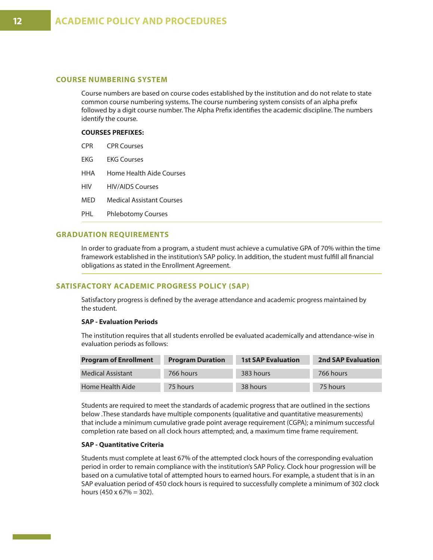## **COURSE NUMBERING SYSTEM**

Course numbers are based on course codes established by the institution and do not relate to state common course numbering systems. The course numbering system consists of an alpha prefix followed by a digit course number. The Alpha Prefix identifies the academic discipline. The numbers identify the course.

#### **COURSES PREFIXES:**

| <b>CPR</b> | <b>CPR Courses</b> |
|------------|--------------------|
|------------|--------------------|

- EKG EKG Courses
- HHA Home Health Aide Courses
- HIV HIV/AIDS Courses
- MED Medical Assistant Courses
- PHL Phlebotomy Courses

## **GRADUATION REQUIREMENTS**

In order to graduate from a program, a student must achieve a cumulative GPA of 70% within the time framework established in the institution's SAP policy. In addition, the student must fulfill all financial obligations as stated in the Enrollment Agreement.

#### **SATISFACTORY ACADEMIC PROGRESS POLICY (SAP)**

Satisfactory progress is defined by the average attendance and academic progress maintained by the student.

#### **SAP - Evaluation Periods**

The institution requires that all students enrolled be evaluated academically and attendance-wise in evaluation periods as follows:

| <b>Program of Enrollment</b> | <b>Program Duration</b> | <b>1st SAP Evaluation</b> | <b>2nd SAP Evaluation</b> |
|------------------------------|-------------------------|---------------------------|---------------------------|
| <b>Medical Assistant</b>     | 766 hours               | 383 hours                 | 766 hours                 |
| Home Health Aide             | 75 hours                | 38 hours                  | 75 hours                  |

Students are required to meet the standards of academic progress that are outlined in the sections below .These standards have multiple components (qualitative and quantitative measurements) that include a minimum cumulative grade point average requirement (CGPA); a minimum successful completion rate based on all clock hours attempted; and, a maximum time frame requirement.

#### **SAP - Quantitative Criteria**

Students must complete at least 67% of the attempted clock hours of the corresponding evaluation period in order to remain compliance with the institution's SAP Policy. Clock hour progression will be based on a cumulative total of attempted hours to earned hours. For example, a student that is in an SAP evaluation period of 450 clock hours is required to successfully complete a minimum of 302 clock hours (450 x 67% = 302).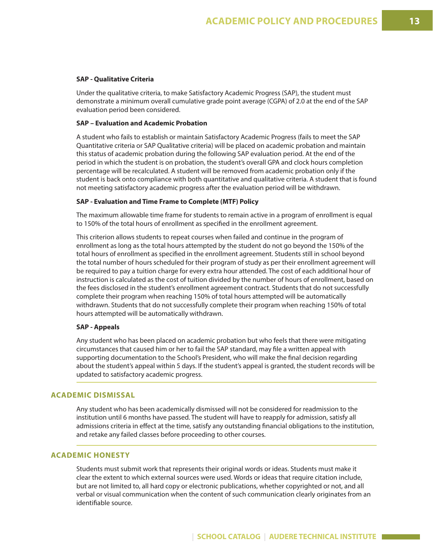#### **SAP - Qualitative Criteria**

Under the qualitative criteria, to make Satisfactory Academic Progress (SAP), the student must demonstrate a minimum overall cumulative grade point average (CGPA) of 2.0 at the end of the SAP evaluation period been considered.

#### **SAP – Evaluation and Academic Probation**

A student who fails to establish or maintain Satisfactory Academic Progress (fails to meet the SAP Quantitative criteria or SAP Qualitative criteria) will be placed on academic probation and maintain this status of academic probation during the following SAP evaluation period. At the end of the period in which the student is on probation, the student's overall GPA and clock hours completion percentage will be recalculated. A student will be removed from academic probation only if the student is back onto compliance with both quantitative and qualitative criteria. A student that is found not meeting satisfactory academic progress after the evaluation period will be withdrawn.

#### **SAP - Evaluation and Time Frame to Complete (MTF) Policy**

The maximum allowable time frame for students to remain active in a program of enrollment is equal to 150% of the total hours of enrollment as specified in the enrollment agreement.

This criterion allows students to repeat courses when failed and continue in the program of enrollment as long as the total hours attempted by the student do not go beyond the 150% of the total hours of enrollment as specified in the enrollment agreement. Students still in school beyond the total number of hours scheduled for their program of study as per their enrollment agreement will be required to pay a tuition charge for every extra hour attended. The cost of each additional hour of instruction is calculated as the cost of tuition divided by the number of hours of enrollment, based on the fees disclosed in the student's enrollment agreement contract. Students that do not successfully complete their program when reaching 150% of total hours attempted will be automatically withdrawn. Students that do not successfully complete their program when reaching 150% of total hours attempted will be automatically withdrawn.

#### **SAP - Appeals**

Any student who has been placed on academic probation but who feels that there were mitigating circumstances that caused him or her to fail the SAP standard, may file a written appeal with supporting documentation to the School's President, who will make the final decision regarding about the student's appeal within 5 days. If the student's appeal is granted, the student records will be updated to satisfactory academic progress.

## **ACADEMIC DISMISSAL**

Any student who has been academically dismissed will not be considered for readmission to the institution until 6 months have passed. The student will have to reapply for admission, satisfy all admissions criteria in effect at the time, satisfy any outstanding financial obligations to the institution, and retake any failed classes before proceeding to other courses.

## **ACADEMIC HONESTY**

Students must submit work that represents their original words or ideas. Students must make it clear the extent to which external sources were used. Words or ideas that require citation include, but are not limited to, all hard copy or electronic publications, whether copyrighted or not, and all verbal or visual communication when the content of such communication clearly originates from an identifiable source.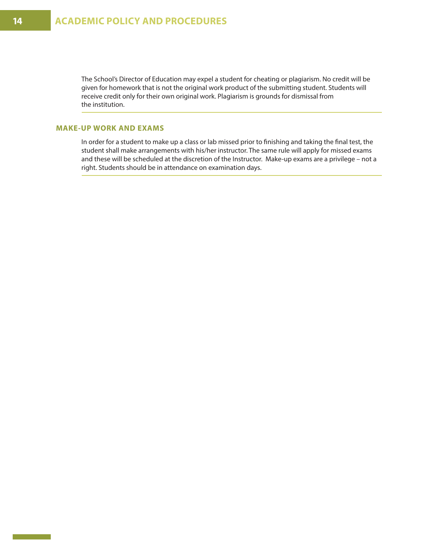The School's Director of Education may expel a student for cheating or plagiarism. No credit will be given for homework that is not the original work product of the submitting student. Students will receive credit only for their own original work. Plagiarism is grounds for dismissal from the institution.

## **MAKE-UP WORK AND EXAMS**

In order for a student to make up a class or lab missed prior to finishing and taking the final test, the student shall make arrangements with his/her instructor. The same rule will apply for missed exams and these will be scheduled at the discretion of the Instructor. Make-up exams are a privilege – not a right. Students should be in attendance on examination days.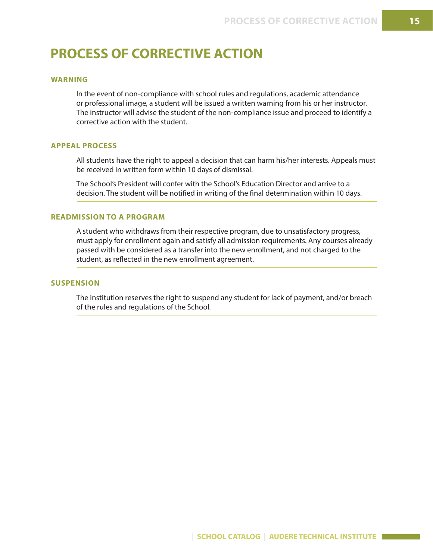## **PROCESS OF CORRECTIVE ACTION**

## **WARNING**

In the event of non-compliance with school rules and regulations, academic attendance or professional image, a student will be issued a written warning from his or her instructor. The instructor will advise the student of the non-compliance issue and proceed to identify a corrective action with the student.

## **APPEAL PROCESS**

All students have the right to appeal a decision that can harm his/her interests. Appeals must be received in written form within 10 days of dismissal.

The School's President will confer with the School's Education Director and arrive to a decision. The student will be notified in writing of the final determination within 10 days.

## **READMISSION TO A PROGRAM**

A student who withdraws from their respective program, due to unsatisfactory progress, must apply for enrollment again and satisfy all admission requirements. Any courses already passed with be considered as a transfer into the new enrollment, and not charged to the student, as reflected in the new enrollment agreement.

## **SUSPENSION**

The institution reserves the right to suspend any student for lack of payment, and/or breach of the rules and regulations of the School.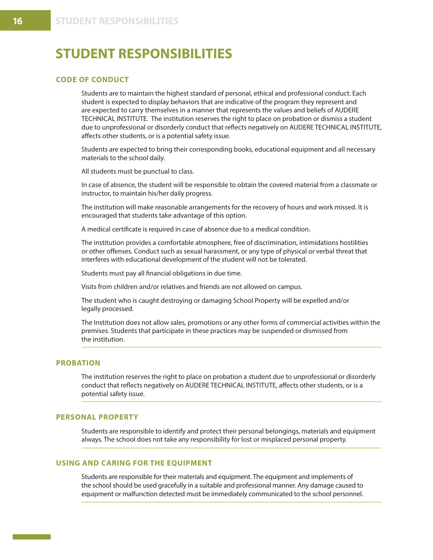## **STUDENT RESPONSIBILITIES**

## **CODE OF CONDUCT**

Students are to maintain the highest standard of personal, ethical and professional conduct. Each student is expected to display behaviors that are indicative of the program they represent and are expected to carry themselves in a manner that represents the values and beliefs of AUDERE TECHNICAL INSTITUTE. The institution reserves the right to place on probation or dismiss a student due to unprofessional or disorderly conduct that reflects negatively on AUDERE TECHNICAL INSTITUTE, affects other students, or is a potential safety issue.

Students are expected to bring their corresponding books, educational equipment and all necessary materials to the school daily.

All students must be punctual to class.

In case of absence, the student will be responsible to obtain the covered material from a classmate or instructor, to maintain his/her daily progress.

The institution will make reasonable arrangements for the recovery of hours and work missed. It is encouraged that students take advantage of this option.

A medical certificate is required in case of absence due to a medical condition.

The institution provides a comfortable atmosphere, free of discrimination, intimidations hostilities or other offenses. Conduct such as sexual harassment, or any type of physical or verbal threat that interferes with educational development of the student will not be tolerated.

Students must pay all financial obligations in due time.

Visits from children and/or relatives and friends are not allowed on campus.

The student who is caught destroying or damaging School Property will be expelled and/or legally processed.

The Institution does not allow sales, promotions or any other forms of commercial activities within the premises. Students that participate in these practices may be suspended or dismissed from the institution.

## **PROBATION**

The institution reserves the right to place on probation a student due to unprofessional or disorderly conduct that reflects negatively on AUDERE TECHNICAL INSTITUTE, affects other students, or is a potential safety issue.

## **PERSONAL PROPERTY**

Students are responsible to identify and protect their personal belongings, materials and equipment always. The school does not take any responsibility for lost or misplaced personal property.

### **USING AND CARING FOR THE EQUIPMENT**

Students are responsible for their materials and equipment. The equipment and implements of the school should be used gracefully in a suitable and professional manner. Any damage caused to equipment or malfunction detected must be immediately communicated to the school personnel.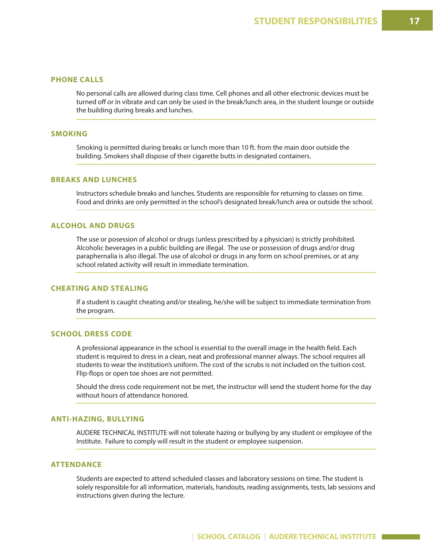## **PHONE CALLS**

No personal calls are allowed during class time. Cell phones and all other electronic devices must be turned off or in vibrate and can only be used in the break/lunch area, in the student lounge or outside the building during breaks and lunches.

## **SMOKING**

Smoking is permitted during breaks or lunch more than 10 ft. from the main door outside the building. Smokers shall dispose of their cigarette butts in designated containers.

## **BREAKS AND LUNCHES**

Instructors schedule breaks and lunches. Students are responsible for returning to classes on time. Food and drinks are only permitted in the school's designated break/lunch area or outside the school.

## **ALCOHOL AND DRUGS**

The use or posession of alcohol or drugs (unless prescribed by a physician) is strictly prohibited. Alcoholic beverages in a public building are illegal. The use or possession of drugs and/or drug paraphernalia is also illegal. The use of alcohol or drugs in any form on school premises, or at any school related activity will result in immediate termination.

## **CHEATING AND STEALING**

If a student is caught cheating and/or stealing, he/she will be subject to immediate termination from the program.

### **SCHOOL DRESS CODE**

A professional appearance in the school is essential to the overall image in the health field. Each student is required to dress in a clean, neat and professional manner always. The school requires all students to wear the institution's uniform. The cost of the scrubs is not included on the tuition cost. Flip-flops or open toe shoes are not permitted.

Should the dress code requirement not be met, the instructor will send the student home for the day without hours of attendance honored.

#### **ANTI-HAZING, BULLYING**

AUDERE TECHNICAL INSTITUTE will not tolerate hazing or bullying by any student or employee of the Institute. Failure to comply will result in the student or employee suspension.

### **ATTENDANCE**

Students are expected to attend scheduled classes and laboratory sessions on time. The student is solely responsible for all information, materials, handouts, reading assignments, tests, lab sessions and instructions given during the lecture.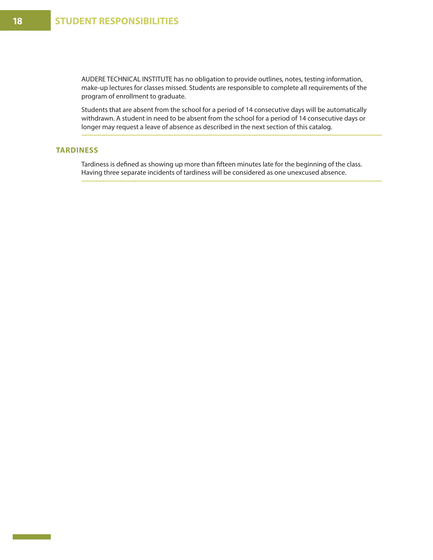AUDERE TECHNICAL INSTITUTE has no obligation to provide outlines, notes, testing information, make-up lectures for classes missed. Students are responsible to complete all requirements of the program of enrollment to graduate.

Students that are absent from the school for a period of 14 consecutive days will be automatically withdrawn. A student in need to be absent from the school for a period of 14 consecutive days or longer may request a leave of absence as described in the next section of this catalog.

## **TARDINESS**

Tardiness is defined as showing up more than fifteen minutes late for the beginning of the class. Having three separate incidents of tardiness will be considered as one unexcused absence.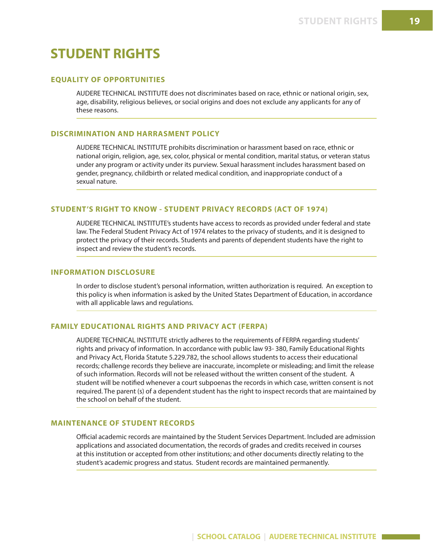## **STUDENT RIGHTS**

## **EQUALITY OF OPPORTUNITIES**

AUDERE TECHNICAL INSTITUTE does not discriminates based on race, ethnic or national origin, sex, age, disability, religious believes, or social origins and does not exclude any applicants for any of these reasons.

## **DISCRIMINATION AND HARRASMENT POLICY**

AUDERE TECHNICAL INSTITUTE prohibits discrimination or harassment based on race, ethnic or national origin, religion, age, sex, color, physical or mental condition, marital status, or veteran status under any program or activity under its purview. Sexual harassment includes harassment based on gender, pregnancy, childbirth or related medical condition, and inappropriate conduct of a sexual nature.

## **STUDENT'S RIGHT TO KNOW - STUDENT PRIVACY RECORDS (ACT OF 1974)**

AUDERE TECHNICAL INSTITUTE's students have access to records as provided under federal and state law. The Federal Student Privacy Act of 1974 relates to the privacy of students, and it is designed to protect the privacy of their records. Students and parents of dependent students have the right to inspect and review the student's records.

## **INFORMATION DISCLOSURE**

In order to disclose student's personal information, written authorization is required. An exception to this policy is when information is asked by the United States Department of Education, in accordance with all applicable laws and regulations.

#### **FAMILY EDUCATIONAL RIGHTS AND PRIVACY ACT (FERPA)**

AUDERE TECHNICAL INSTITUTE strictly adheres to the requirements of FERPA regarding students' rights and privacy of information. In accordance with public law 93- 380, Family Educational Rights and Privacy Act, Florida Statute 5.229.782, the school allows students to access their educational records; challenge records they believe are inaccurate, incomplete or misleading; and limit the release of such information. Records will not be released without the written consent of the student. A student will be notified whenever a court subpoenas the records in which case, written consent is not required. The parent (s) of a dependent student has the right to inspect records that are maintained by the school on behalf of the student.

## **MAINTENANCE OF STUDENT RECORDS**

Official academic records are maintained by the Student Services Department. Included are admission applications and associated documentation, the records of grades and credits received in courses at this institution or accepted from other institutions; and other documents directly relating to the student's academic progress and status. Student records are maintained permanently.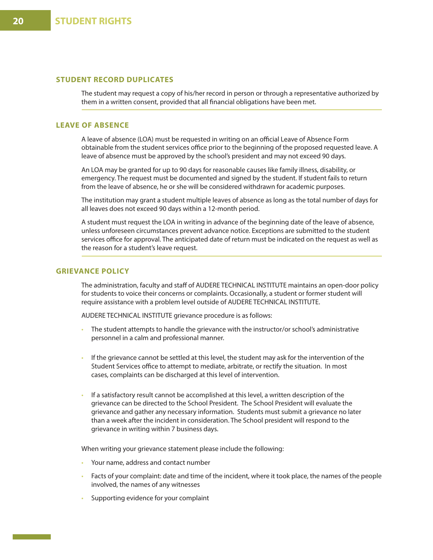## **STUDENT RECORD DUPLICATES**

The student may request a copy of his/her record in person or through a representative authorized by them in a written consent, provided that all financial obligations have been met.

#### **LEAVE OF ABSENCE**

A leave of absence (LOA) must be requested in writing on an official Leave of Absence Form obtainable from the student services office prior to the beginning of the proposed requested leave. A leave of absence must be approved by the school's president and may not exceed 90 days.

An LOA may be granted for up to 90 days for reasonable causes like family illness, disability, or emergency. The request must be documented and signed by the student. If student fails to return from the leave of absence, he or she will be considered withdrawn for academic purposes.

The institution may grant a student multiple leaves of absence as long as the total number of days for all leaves does not exceed 90 days within a 12-month period.

A student must request the LOA in writing in advance of the beginning date of the leave of absence, unless unforeseen circumstances prevent advance notice. Exceptions are submitted to the student services office for approval. The anticipated date of return must be indicated on the request as well as the reason for a student's leave request.

#### **GRIEVANCE POLICY**

The administration, faculty and staff of AUDERE TECHNICAL INSTITUTE maintains an open-door policy for students to voice their concerns or complaints. Occasionally, a student or former student will require assistance with a problem level outside of AUDERE TECHNICAL INSTITUTE.

AUDERE TECHNICAL INSTITUTE grievance procedure is as follows:

- The student attempts to handle the grievance with the instructor/or school's administrative personnel in a calm and professional manner.
- If the grievance cannot be settled at this level, the student may ask for the intervention of the Student Services office to attempt to mediate, arbitrate, or rectify the situation. In most cases, complaints can be discharged at this level of intervention.
- If a satisfactory result cannot be accomplished at this level, a written description of the grievance can be directed to the School President. The School President will evaluate the grievance and gather any necessary information. Students must submit a grievance no later than a week after the incident in consideration. The School president will respond to the grievance in writing within 7 business days.

When writing your grievance statement please include the following:

- Your name, address and contact number
- Facts of your complaint: date and time of the incident, where it took place, the names of the people involved, the names of any witnesses
- Supporting evidence for your complaint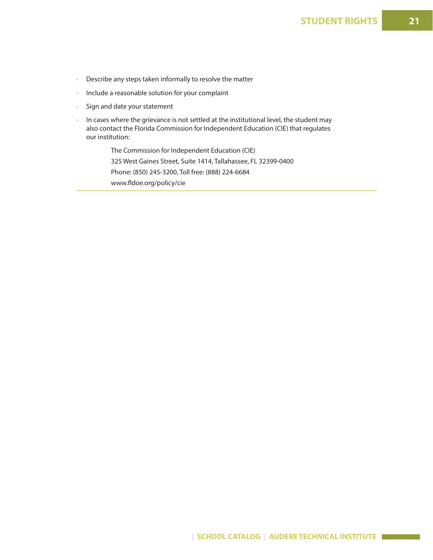- Describe any steps taken informally to resolve the matter
- Include a reasonable solution for your complaint
- Sign and date your statement
- In cases where the grievance is not settled at the institutional level, the student may also contact the Florida Commission for Independent Education (CIE) that regulates our institution:

 The Commission for Independent Education (CIE) 325 West Gaines Street, Suite 1414, Tallahassee, FL 32399-0400 Phone: (850) 245-3200, Toll free: (888) 224-6684 www.fldoe.org/policy/cie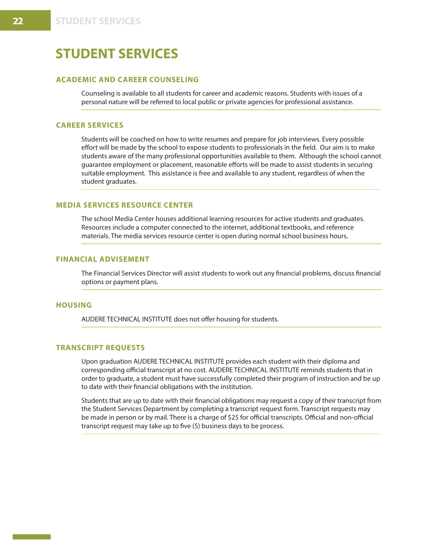## **ACADEMIC AND CAREER COUNSELING**

Counseling is available to all students for career and academic reasons. Students with issues of a personal nature will be referred to local public or private agencies for professional assistance.

## **CAREER SERVICES**

Students will be coached on how to write resumes and prepare for job interviews. Every possible effort will be made by the school to expose students to professionals in the field. Our aim is to make students aware of the many professional opportunities available to them. Although the school cannot guarantee employment or placement, reasonable efforts will be made to assist students in securing suitable employment. This assistance is free and available to any student, regardless of when the student graduates.

#### **MEDIA SERVICES RESOURCE CENTER**

The school Media Center houses additional learning resources for active students and graduates. Resources include a computer connected to the internet, additional textbooks, and reference materials. The media services resource center is open during normal school business hours.

### **FINANCIAL ADVISEMENT**

The Financial Services Director will assist students to work out any financial problems, discuss financial options or payment plans.

#### **HOUSING**

AUDERE TECHNICAL INSTITUTE does not offer housing for students.

#### **TRANSCRIPT REQUESTS**

Upon graduation AUDERE TECHNICAL INSTITUTE provides each student with their diploma and corresponding official transcript at no cost. AUDERE TECHNICAL INSTITUTE reminds students that in order to graduate, a student must have successfully completed their program of instruction and be up to date with their financial obligations with the institution.

Students that are up to date with their financial obligations may request a copy of their transcript from the Student Services Department by completing a transcript request form. Transcript requests may be made in person or by mail. There is a charge of \$25 for official transcripts. Official and non-official transcript request may take up to five (5) business days to be process.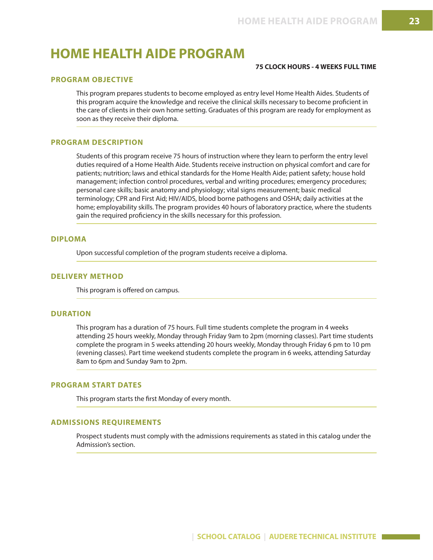## **HOME HEALTH AIDE PROGRAM**

## **75 CLOCK HOURS - 4 WEEKS FULL TIME**

## **PROGRAM OBJECTIVE**

This program prepares students to become employed as entry level Home Health Aides. Students of this program acquire the knowledge and receive the clinical skills necessary to become proficient in the care of clients in their own home setting. Graduates of this program are ready for employment as soon as they receive their diploma.

#### **PROGRAM DESCRIPTION**

Students of this program receive 75 hours of instruction where they learn to perform the entry level duties required of a Home Health Aide. Students receive instruction on physical comfort and care for patients; nutrition; laws and ethical standards for the Home Health Aide; patient safety; house hold management; infection control procedures, verbal and writing procedures; emergency procedures; personal care skills; basic anatomy and physiology; vital signs measurement; basic medical terminology; CPR and First Aid; HIV/AIDS, blood borne pathogens and OSHA; daily activities at the home; employability skills. The program provides 40 hours of laboratory practice, where the students gain the required proficiency in the skills necessary for this profession.

#### **DIPLOMA**

Upon successful completion of the program students receive a diploma.

#### **DELIVERY METHOD**

This program is offered on campus.

#### **DURATION**

This program has a duration of 75 hours. Full time students complete the program in 4 weeks attending 25 hours weekly, Monday through Friday 9am to 2pm (morning classes). Part time students complete the program in 5 weeks attending 20 hours weekly, Monday through Friday 6 pm to 10 pm (evening classes). Part time weekend students complete the program in 6 weeks, attending Saturday 8am to 6pm and Sunday 9am to 2pm.

## **PROGRAM START DATES**

This program starts the first Monday of every month.

#### **ADMISSIONS REQUIREMENTS**

Prospect students must comply with the admissions requirements as stated in this catalog under the Admission's section.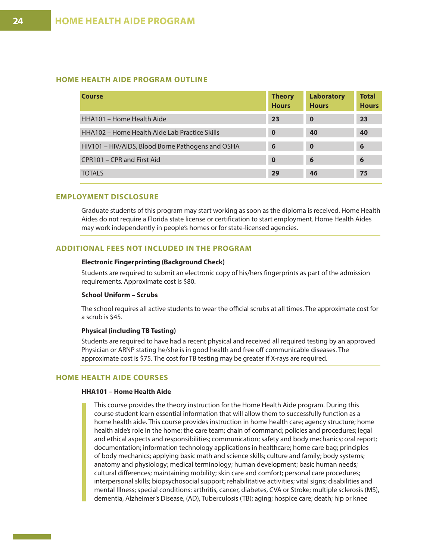## **HOME HEALTH AIDE PROGRAM OUTLINE**

| Course                                            | <b>Theory</b><br><b>Hours</b> | <b>Laboratory</b><br><b>Hours</b> | <b>Total</b><br><b>Hours</b> |
|---------------------------------------------------|-------------------------------|-----------------------------------|------------------------------|
| HHA101 - Home Health Aide                         | 2 <sub>3</sub>                | $\bf{0}$                          | 23                           |
| HHA102 - Home Health Aide Lab Practice Skills     | $\mathbf 0$                   | 40                                | 40                           |
| HIV101 – HIV/AIDS, Blood Borne Pathogens and OSHA | 6                             | $\bf{0}$                          | 6                            |
| CPR101 – CPR and First Aid                        | $\bf{0}$                      | 6                                 | 6                            |
| <b>TOTALS</b>                                     | 29                            | 46                                | 75                           |

#### **EMPLOYMENT DISCLOSURE**

Graduate students of this program may start working as soon as the diploma is received. Home Health Aides do not require a Florida state license or certification to start employment. Home Health Aides may work independently in people's homes or for state-licensed agencies.

#### **ADDITIONAL FEES NOT INCLUDED IN THE PROGRAM**

#### **Electronic Fingerprinting (Background Check)**

Students are required to submit an electronic copy of his/hers fingerprints as part of the admission requirements. Approximate cost is \$80.

#### **School Uniform – Scrubs**

The school requires all active students to wear the official scrubs at all times. The approximate cost for a scrub is \$45.

#### **Physical (including TB Testing)**

Students are required to have had a recent physical and received all required testing by an approved Physician or ARNP stating he/she is in good health and free off communicable diseases. The approximate cost is \$75. The cost for TB testing may be greater if X-rays are required.

## **HOME HEALTH AIDE COURSES**

#### **HHA101 – Home Health Aide**

This course provides the theory instruction for the Home Health Aide program. During this course student learn essential information that will allow them to successfully function as a home health aide. This course provides instruction in home health care; agency structure; home health aide's role in the home; the care team; chain of command; policies and procedures; legal and ethical aspects and responsibilities; communication; safety and body mechanics; oral report; documentation; information technology applications in healthcare; home care bag; principles of body mechanics; applying basic math and science skills; culture and family; body systems; anatomy and physiology; medical terminology; human development; basic human needs; cultural differences; maintaining mobility; skin care and comfort; personal care procedures; interpersonal skills; biopsychosocial support; rehabilitative activities; vital signs; disabilities and mental Illness; special conditions: arthritis, cancer, diabetes, CVA or Stroke; multiple sclerosis (MS), dementia, Alzheimer's Disease, (AD), Tuberculosis (TB); aging; hospice care; death; hip or knee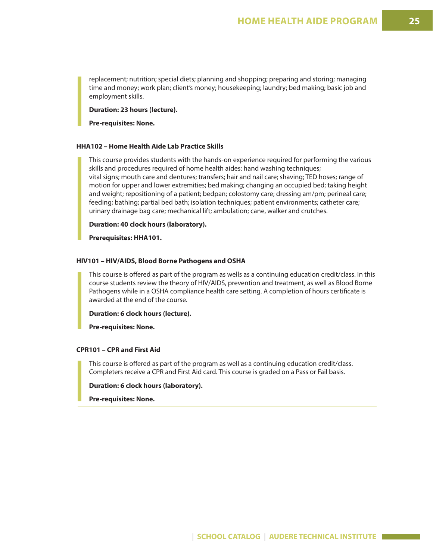replacement; nutrition; special diets; planning and shopping; preparing and storing; managing time and money; work plan; client's money; housekeeping; laundry; bed making; basic job and employment skills.

**Duration: 23 hours (lecture).** 

**Pre-requisites: None.**

#### **HHA102 – Home Health Aide Lab Practice Skills**

This course provides students with the hands-on experience required for performing the various skills and procedures required of home health aides: hand washing techniques; vital signs; mouth care and dentures; transfers; hair and nail care; shaving; TED hoses; range of motion for upper and lower extremities; bed making; changing an occupied bed; taking height and weight; repositioning of a patient; bedpan; colostomy care; dressing am/pm; perineal care; feeding; bathing; partial bed bath; isolation techniques; patient environments; catheter care; urinary drainage bag care; mechanical lift; ambulation; cane, walker and crutches.

**Duration: 40 clock hours (laboratory).** 

**Prerequisites: HHA101.**

#### **HIV101 – HIV/AIDS, Blood Borne Pathogens and OSHA**

This course is offered as part of the program as wells as a continuing education credit/class. In this course students review the theory of HIV/AIDS, prevention and treatment, as well as Blood Borne Pathogens while in a OSHA compliance health care setting. A completion of hours certificate is awarded at the end of the course.

**Duration: 6 clock hours (lecture).** 

**Pre-requisites: None.**

### **CPR101 – CPR and First Aid**

This course is offered as part of the program as well as a continuing education credit/class. Completers receive a CPR and First Aid card. This course is graded on a Pass or Fail basis.

**Duration: 6 clock hours (laboratory).** 

**Pre-requisites: None.**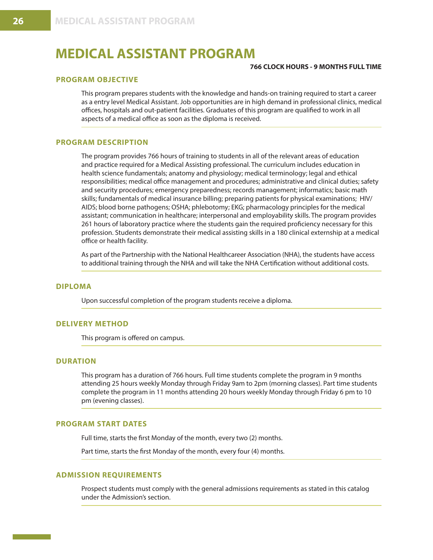## **MEDICAL ASSISTANT PROGRAM**

#### **766 CLOCK HOURS - 9 MONTHS FULL TIME**

## **PROGRAM OBJECTIVE**

This program prepares students with the knowledge and hands-on training required to start a career as a entry level Medical Assistant. Job opportunities are in high demand in professional clinics, medical offices, hospitals and out-patient facilities. Graduates of this program are qualified to work in all aspects of a medical office as soon as the diploma is received.

#### **PROGRAM DESCRIPTION**

The program provides 766 hours of training to students in all of the relevant areas of education and practice required for a Medical Assisting professional. The curriculum includes education in health science fundamentals; anatomy and physiology; medical terminology; legal and ethical responsibilities; medical office management and procedures; administrative and clinical duties; safety and security procedures; emergency preparedness; records management; informatics; basic math skills; fundamentals of medical insurance billing; preparing patients for physical examinations; HIV/ AIDS; blood borne pathogens; OSHA; phlebotomy; EKG; pharmacology principles for the medical assistant; communication in healthcare; interpersonal and employability skills. The program provides 261 hours of laboratory practice where the students gain the required proficiency necessary for this profession. Students demonstrate their medical assisting skills in a 180 clinical externship at a medical office or health facility.

As part of the Partnership with the National Healthcareer Association (NHA), the students have access to additional training through the NHA and will take the NHA Certification without additional costs.

#### **DIPLOMA**

Upon successful completion of the program students receive a diploma.

## **DELIVERY METHOD**

This program is offered on campus.

## **DURATION**

This program has a duration of 766 hours. Full time students complete the program in 9 months attending 25 hours weekly Monday through Friday 9am to 2pm (morning classes). Part time students complete the program in 11 months attending 20 hours weekly Monday through Friday 6 pm to 10 pm (evening classes).

## **PROGRAM START DATES**

Full time, starts the first Monday of the month, every two (2) months.

Part time, starts the first Monday of the month, every four (4) months.

## **ADMISSION REQUIREMENTS**

Prospect students must comply with the general admissions requirements as stated in this catalog under the Admission's section.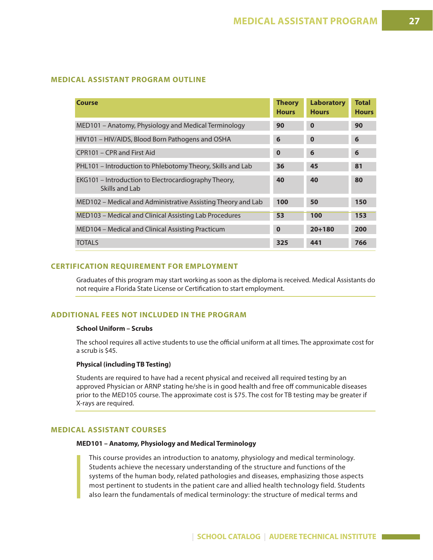## **MEDICAL ASSISTANT PROGRAM OUTLINE**

| <b>Course</b>                                                          | <b>Theory</b><br><b>Hours</b> | <b>Laboratory</b><br><b>Hours</b> | <b>Total</b><br><b>Hours</b> |
|------------------------------------------------------------------------|-------------------------------|-----------------------------------|------------------------------|
| MED101 - Anatomy, Physiology and Medical Terminology                   | 90                            | $\bf{0}$                          | 90                           |
| HIV101 - HIV/AIDS, Blood Born Pathogens and OSHA                       | 6                             | $\bf{0}$                          | 6                            |
| CPR101 – CPR and First Aid                                             | $\bf{0}$                      | 6                                 | 6                            |
| PHL101 – Introduction to Phlebotomy Theory, Skills and Lab             | 36                            | 45                                | 81                           |
| EKG101 - Introduction to Electrocardiography Theory,<br>Skills and Lab | 40                            | 40                                | 80                           |
| MED102 – Medical and Administrative Assisting Theory and Lab           | 100                           | 50                                | 150                          |
| MED103 – Medical and Clinical Assisting Lab Procedures                 | 53                            | 100                               | 153                          |
| MED104 - Medical and Clinical Assisting Practicum                      | $\bf{0}$                      | $20 + 180$                        | 200                          |
| <b>TOTALS</b>                                                          | 325                           | 441                               | 766                          |

## **CERTIFICATION REQUIREMENT FOR EMPLOYMENT**

Graduates of this program may start working as soon as the diploma is received. Medical Assistants do not require a Florida State License or Certification to start employment.

## **ADDITIONAL FEES NOT INCLUDED IN THE PROGRAM**

#### **School Uniform – Scrubs**

The school requires all active students to use the official uniform at all times. The approximate cost for a scrub is \$45.

## **Physical (including TB Testing)**

Students are required to have had a recent physical and received all required testing by an approved Physician or ARNP stating he/she is in good health and free off communicable diseases prior to the MED105 course. The approximate cost is \$75. The cost for TB testing may be greater if X-rays are required.

#### **MEDICAL ASSISTANT COURSES**

## **MED101 – Anatomy, Physiology and Medical Terminology**

This course provides an introduction to anatomy, physiology and medical terminology. Students achieve the necessary understanding of the structure and functions of the systems of the human body, related pathologies and diseases, emphasizing those aspects most pertinent to students in the patient care and allied health technology field. Students also learn the fundamentals of medical terminology: the structure of medical terms and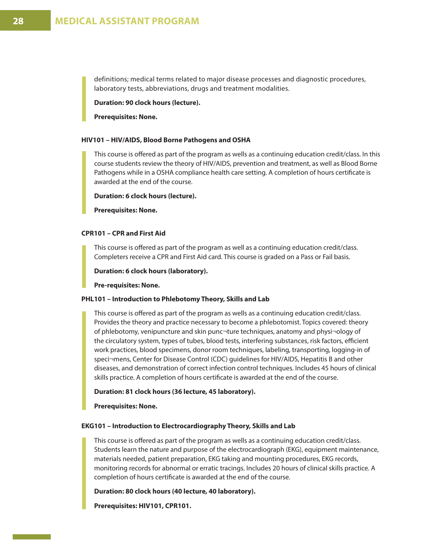definitions; medical terms related to major disease processes and diagnostic procedures, laboratory tests, abbreviations, drugs and treatment modalities.

**Duration: 90 clock hours (lecture).** 

**Prerequisites: None.**

#### **HIV101 – HIV/AIDS, Blood Borne Pathogens and OSHA**

This course is offered as part of the program as wells as a continuing education credit/class. In this course students review the theory of HIV/AIDS, prevention and treatment, as well as Blood Borne Pathogens while in a OSHA compliance health care setting. A completion of hours certificate is awarded at the end of the course.

**Duration: 6 clock hours (lecture).** 

**Prerequisites: None.**

### **CPR101 – CPR and First Aid**

This course is offered as part of the program as well as a continuing education credit/class. Completers receive a CPR and First Aid card. This course is graded on a Pass or Fail basis.

**Duration: 6 clock hours (laboratory).** 

**Pre-requisites: None.**

#### **PHL101 – Introduction to Phlebotomy Theory, Skills and Lab**

This course is offered as part of the program as wells as a continuing education credit/class. Provides the theory and practice necessary to become a phlebotomist. Topics covered: theory of phlebotomy, venipuncture and skin punc¬ture techniques, anatomy and physi¬ology of the circulatory system, types of tubes, blood tests, interfering substances, risk factors, efficient work practices, blood specimens, donor room techniques, labeling, transporting, logging-in of speci¬mens, Center for Disease Control (CDC) guidelines for HIV/AIDS, Hepatitis B and other diseases, and demonstration of correct infection control techniques. Includes 45 hours of clinical skills practice. A completion of hours certificate is awarded at the end of the course.

**Duration: 81 clock hours (36 lecture, 45 laboratory).**

**Prerequisites: None.**

#### **EKG101 – Introduction to Electrocardiography Theory, Skills and Lab**

This course is offered as part of the program as wells as a continuing education credit/class. Students learn the nature and purpose of the electrocardiograph (EKG), equipment maintenance, materials needed, patient preparation, EKG taking and mounting procedures, EKG records, monitoring records for abnormal or erratic tracings. Includes 20 hours of clinical skills practice. A completion of hours certificate is awarded at the end of the course.

**Duration: 80 clock hours (40 lecture, 40 laboratory).** 

**Prerequisites: HIV101, CPR101.**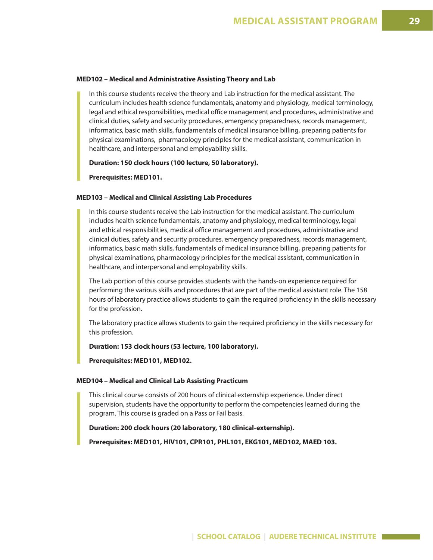#### **MED102 – Medical and Administrative Assisting Theory and Lab**

In this course students receive the theory and Lab instruction for the medical assistant. The curriculum includes health science fundamentals, anatomy and physiology, medical terminology, legal and ethical responsibilities, medical office management and procedures, administrative and clinical duties, safety and security procedures, emergency preparedness, records management, informatics, basic math skills, fundamentals of medical insurance billing, preparing patients for physical examinations, pharmacology principles for the medical assistant, communication in healthcare, and interpersonal and employability skills.

**Duration: 150 clock hours (100 lecture, 50 laboratory).** 

**Prerequisites: MED101.**

#### **MED103 – Medical and Clinical Assisting Lab Procedures**

In this course students receive the Lab instruction for the medical assistant. The curriculum includes health science fundamentals, anatomy and physiology, medical terminology, legal and ethical responsibilities, medical office management and procedures, administrative and clinical duties, safety and security procedures, emergency preparedness, records management, informatics, basic math skills, fundamentals of medical insurance billing, preparing patients for physical examinations, pharmacology principles for the medical assistant, communication in healthcare, and interpersonal and employability skills.

The Lab portion of this course provides students with the hands-on experience required for performing the various skills and procedures that are part of the medical assistant role. The 158 hours of laboratory practice allows students to gain the required proficiency in the skills necessary for the profession.

The laboratory practice allows students to gain the required proficiency in the skills necessary for this profession.

**Duration: 153 clock hours (53 lecture, 100 laboratory).** 

**Prerequisites: MED101, MED102.**

#### **MED104 – Medical and Clinical Lab Assisting Practicum**

This clinical course consists of 200 hours of clinical externship experience. Under direct supervision, students have the opportunity to perform the competencies learned during the program. This course is graded on a Pass or Fail basis.

**Duration: 200 clock hours (20 laboratory, 180 clinical-externship).**

**Prerequisites: MED101, HIV101, CPR101, PHL101, EKG101, MED102, MAED 103.**